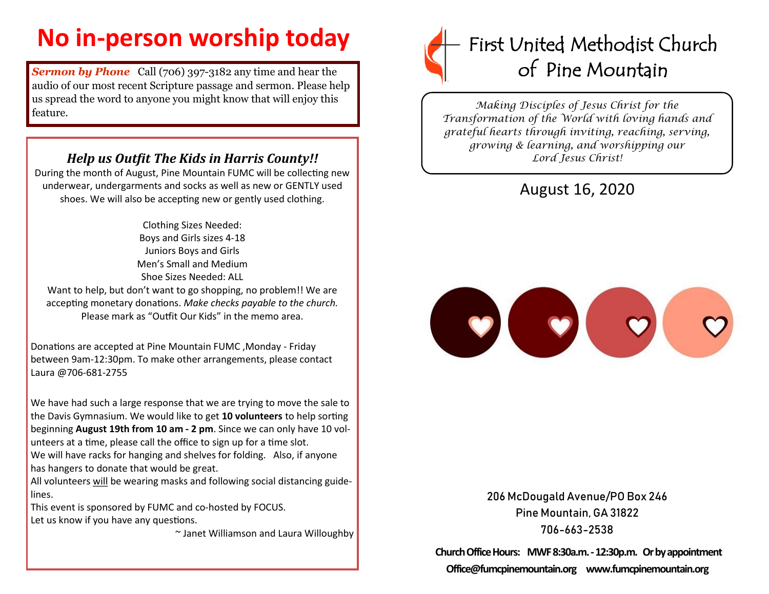## **No in-person worship today**

**Sermon by Phone** Call (706) 397-3182 any time and hear the audio of our most recent Scripture passage and sermon. Please help us spread the word to anyone you might know that will enjoy this feature.

## *Help us Outfit The Kids in Harris County!!*

During the month of August, Pine Mountain FUMC will be collecting new underwear, undergarments and socks as well as new or GENTLY used shoes. We will also be accepting new or gently used clothing.

> Clothing Sizes Needed: Boys and Girls sizes 4-18 Juniors Boys and Girls Men's Small and Medium Shoe Sizes Needed: ALL

Want to help, but don't want to go shopping, no problem!! We are accepting monetary donations. *Make checks payable to the church.*  Please mark as "Outfit Our Kids" in the memo area.

Donations are accepted at Pine Mountain FUMC ,Monday - Friday between 9am-12:30pm. To make other arrangements, please contact Laura @706-681-2755

We have had such a large response that we are trying to move the sale to the Davis Gymnasium. We would like to get **10 volunteers** to help sorting beginning **August 19th from 10 am - 2 pm**. Since we can only have 10 volunteers at a time, please call the office to sign up for a time slot.

We will have racks for hanging and shelves for folding. Also, if anyone has hangers to donate that would be great.

All volunteers will be wearing masks and following social distancing guidelines.

This event is sponsored by FUMC and co-hosted by FOCUS. Let us know if you have any questions.

~ Janet Williamson and Laura Willoughby



*Making Disciples of Jesus Christ for the Transformation of the World with loving hands and grateful hearts through inviting, reaching, serving, growing & learning, and worshipping our Lord Jesus Christ!* 

## August 16, 2020



206 McDougald Avenue/PO Box 246 Pine Mountain, GA 31822 706-663-2538

**Church Office Hours: MWF 8:30a.m. -12:30p.m. Or by appointment Office@fumcpinemountain.org www.fumcpinemountain.org**